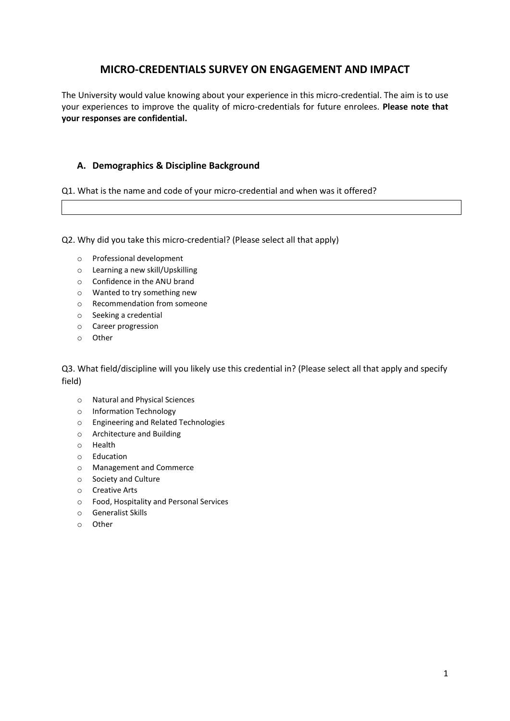#### **MICRO-CREDENTIALS SURVEY ON ENGAGEMENT AND IMPACT**

The University would value knowing about your experience in this micro-credential. The aim is to use your experiences to improve the quality of micro-credentials for future enrolees. **Please note that your responses are confidential.**

#### **A. Demographics & Discipline Background**

Q1. What is the name and code of your micro-credential and when was it offered?

Q2. Why did you take this micro-credential? (Please select all that apply)

- o Professional development
- o Learning a new skill/Upskilling
- o Confidence in the ANU brand
- o Wanted to try something new
- o Recommendation from someone
- o Seeking a credential
- o Career progression
- o Other

Q3. What field/discipline will you likely use this credential in? (Please select all that apply and specify field)

- o Natural and Physical Sciences
- o Information Technology
- o Engineering and Related Technologies
- o Architecture and Building
- o Health
- o Education
- o Management and Commerce
- o Society and Culture
- o Creative Arts
- o Food, Hospitality and Personal Services
- o Generalist Skills
- o Other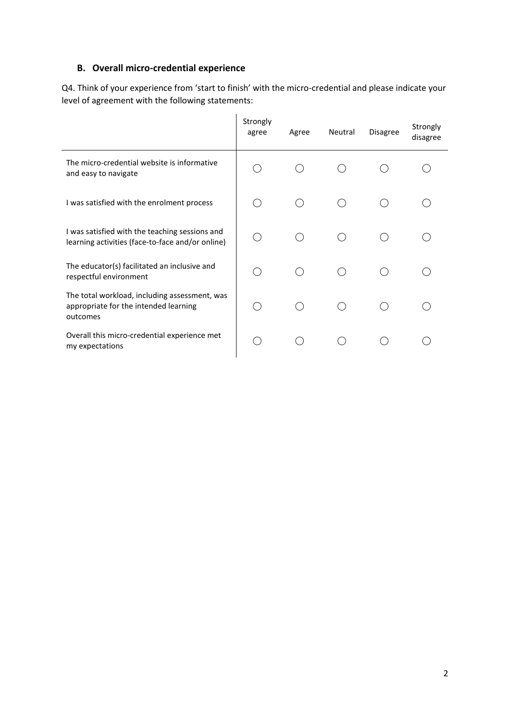# **B. Overall micro-credential experience**

Q4. Think of your experience from 'start to finish' with the micro-credential and please indicate your level of agreement with the following statements:

|                                                                                                    | Strongly<br>agree                             | Agree | Neutral | <b>Disagree</b> | Strongly<br>disagree |
|----------------------------------------------------------------------------------------------------|-----------------------------------------------|-------|---------|-----------------|----------------------|
| The micro-credential website is informative<br>and easy to navigate                                |                                               |       |         |                 |                      |
| I was satisfied with the enrolment process                                                         |                                               |       |         |                 |                      |
| I was satisfied with the teaching sessions and<br>learning activities (face-to-face and/or online) |                                               |       |         |                 |                      |
| The educator(s) facilitated an inclusive and<br>respectful environment                             | $\left( \begin{array}{c} \end{array} \right)$ |       |         |                 |                      |
| The total workload, including assessment, was<br>appropriate for the intended learning<br>outcomes |                                               |       |         |                 |                      |
| Overall this micro-credential experience met<br>my expectations                                    |                                               |       |         |                 |                      |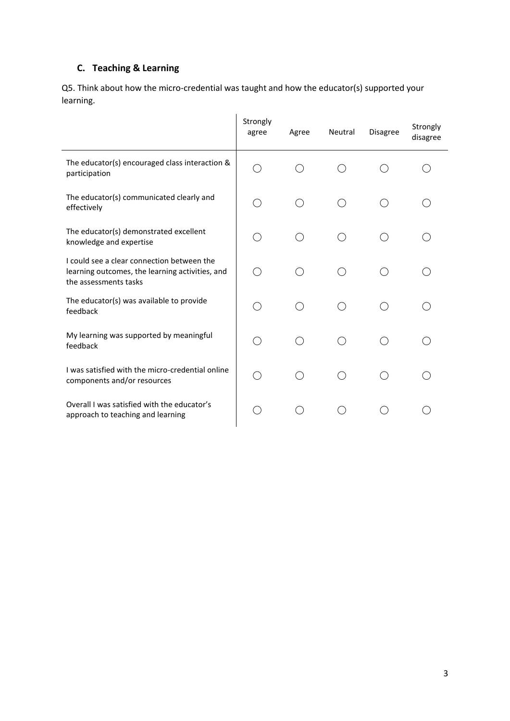# **C. Teaching & Learning**

Q5. Think about how the micro-credential was taught and how the educator(s) supported your learning.

|                                                                                                                        | Strongly<br>agree | Agree                                         | Neutral | Disagree | Strongly<br>disagree |
|------------------------------------------------------------------------------------------------------------------------|-------------------|-----------------------------------------------|---------|----------|----------------------|
| The educator(s) encouraged class interaction &<br>participation                                                        |                   |                                               |         |          |                      |
| The educator(s) communicated clearly and<br>effectively                                                                | ( )               | ()                                            | ( )     | ( )      | $\bar{ }$            |
| The educator(s) demonstrated excellent<br>knowledge and expertise                                                      |                   |                                               |         |          |                      |
| I could see a clear connection between the<br>learning outcomes, the learning activities, and<br>the assessments tasks |                   |                                               |         |          |                      |
| The educator(s) was available to provide<br>feedback                                                                   |                   |                                               |         |          |                      |
| My learning was supported by meaningful<br>feedback                                                                    | ◯                 | ( )                                           | ( )     | $( \ )$  |                      |
| I was satisfied with the micro-credential online<br>components and/or resources                                        | ( )               | $\left( \begin{array}{c} \end{array} \right)$ | Ω       | ( )      |                      |
| Overall I was satisfied with the educator's<br>approach to teaching and learning                                       |                   |                                               |         |          |                      |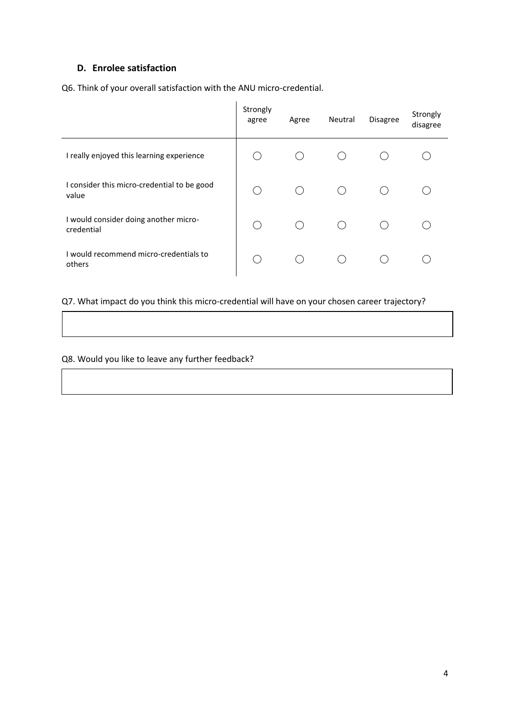#### **D. Enrolee satisfaction**

Q6. Think of your overall satisfaction with the ANU micro-credential.

|                                                      | Strongly<br>agree | Agree | Neutral | <b>Disagree</b> | Strongly<br>disagree |
|------------------------------------------------------|-------------------|-------|---------|-----------------|----------------------|
| I really enjoyed this learning experience            |                   |       |         |                 |                      |
| I consider this micro-credential to be good<br>value |                   |       |         |                 |                      |
| I would consider doing another micro-<br>credential  |                   | (     |         |                 |                      |
| I would recommend micro-credentials to<br>others     |                   |       |         |                 |                      |

# Q7. What impact do you think this micro-credential will have on your chosen career trajectory?

Q8. Would you like to leave any further feedback?